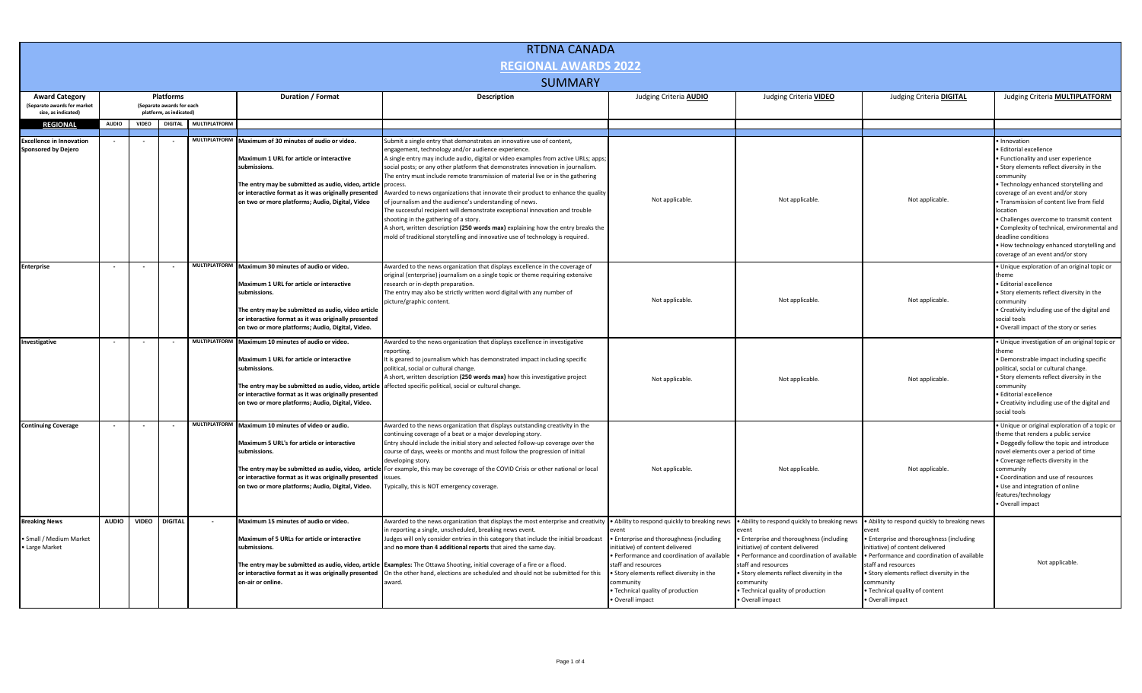| <b>RTDNA CANADA</b>                                               |                                        |              |                |                      |                                                                                                                                                                                                                                                                                    |                                                                                                                                                                                                                                                                                                                                                                                                                                                                                                                                                                                 |                                                                                                                                                                                                                                                                     |                                                                                                                                                                                                                                                                                                                   |                                                                                                                                                                                                                                                                                                          |                                                                                                                                                                                                                                                                                                                                              |  |  |
|-------------------------------------------------------------------|----------------------------------------|--------------|----------------|----------------------|------------------------------------------------------------------------------------------------------------------------------------------------------------------------------------------------------------------------------------------------------------------------------------|---------------------------------------------------------------------------------------------------------------------------------------------------------------------------------------------------------------------------------------------------------------------------------------------------------------------------------------------------------------------------------------------------------------------------------------------------------------------------------------------------------------------------------------------------------------------------------|---------------------------------------------------------------------------------------------------------------------------------------------------------------------------------------------------------------------------------------------------------------------|-------------------------------------------------------------------------------------------------------------------------------------------------------------------------------------------------------------------------------------------------------------------------------------------------------------------|----------------------------------------------------------------------------------------------------------------------------------------------------------------------------------------------------------------------------------------------------------------------------------------------------------|----------------------------------------------------------------------------------------------------------------------------------------------------------------------------------------------------------------------------------------------------------------------------------------------------------------------------------------------|--|--|
| <b>REGIONAL AWARDS 2022</b>                                       |                                        |              |                |                      |                                                                                                                                                                                                                                                                                    |                                                                                                                                                                                                                                                                                                                                                                                                                                                                                                                                                                                 |                                                                                                                                                                                                                                                                     |                                                                                                                                                                                                                                                                                                                   |                                                                                                                                                                                                                                                                                                          |                                                                                                                                                                                                                                                                                                                                              |  |  |
| <b>SUMMARY</b>                                                    |                                        |              |                |                      |                                                                                                                                                                                                                                                                                    |                                                                                                                                                                                                                                                                                                                                                                                                                                                                                                                                                                                 |                                                                                                                                                                                                                                                                     |                                                                                                                                                                                                                                                                                                                   |                                                                                                                                                                                                                                                                                                          |                                                                                                                                                                                                                                                                                                                                              |  |  |
| <b>Award Category</b><br>Separate awards for market               | Platforms<br>(Separate awards for each |              |                |                      | <b>Duration / Format</b>                                                                                                                                                                                                                                                           | Description                                                                                                                                                                                                                                                                                                                                                                                                                                                                                                                                                                     | Judging Criteria <b>AUDIO</b>                                                                                                                                                                                                                                       | Judging Criteria VIDEO                                                                                                                                                                                                                                                                                            | Judging Criteria <b>DIGITAL</b>                                                                                                                                                                                                                                                                          | Judging Criteria <b>MULTIPLATFORM</b>                                                                                                                                                                                                                                                                                                        |  |  |
| size, as indicated)                                               | platform, as indicated)                |              |                |                      |                                                                                                                                                                                                                                                                                    |                                                                                                                                                                                                                                                                                                                                                                                                                                                                                                                                                                                 |                                                                                                                                                                                                                                                                     |                                                                                                                                                                                                                                                                                                                   |                                                                                                                                                                                                                                                                                                          |                                                                                                                                                                                                                                                                                                                                              |  |  |
| <b>REGIONAL</b>                                                   | <b>AUDIO</b>                           | <b>VIDEO</b> | <b>DIGITAL</b> | <b>MULTIPLATFORM</b> |                                                                                                                                                                                                                                                                                    |                                                                                                                                                                                                                                                                                                                                                                                                                                                                                                                                                                                 |                                                                                                                                                                                                                                                                     |                                                                                                                                                                                                                                                                                                                   |                                                                                                                                                                                                                                                                                                          |                                                                                                                                                                                                                                                                                                                                              |  |  |
| <b>Excellence in Innovation</b>                                   |                                        |              |                |                      | MULTIPLATFORM Maximum of 30 minutes of audio or video.                                                                                                                                                                                                                             | Submit a single entry that demonstrates an innovative use of content,                                                                                                                                                                                                                                                                                                                                                                                                                                                                                                           |                                                                                                                                                                                                                                                                     |                                                                                                                                                                                                                                                                                                                   |                                                                                                                                                                                                                                                                                                          | Innovation                                                                                                                                                                                                                                                                                                                                   |  |  |
| <b>Sponsored by Dejero</b>                                        |                                        |              |                |                      | Maximum 1 URL for article or interactive<br>submissions.<br>The entry may be submitted as audio, video, article                                                                                                                                                                    | engagement, technology and/or audience experience.<br>A single entry may include audio, digital or video examples from active URLs; apps;<br>social posts; or any other platform that demonstrates innovation in journalism.<br>The entry must include remote transmission of material live or in the gathering<br>process.                                                                                                                                                                                                                                                     |                                                                                                                                                                                                                                                                     |                                                                                                                                                                                                                                                                                                                   |                                                                                                                                                                                                                                                                                                          | <b>Editorial excellence</b><br>Functionality and user experience<br>Story elements reflect diversity in the<br>communitv<br>Technology enhanced storytelling and                                                                                                                                                                             |  |  |
|                                                                   |                                        |              |                |                      | or interactive format as it was originally presented<br>on two or more platforms; Audio, Digital, Video                                                                                                                                                                            | Awarded to news organizations that innovate their product to enhance the quality<br>of journalism and the audience's understanding of news.<br>The successful recipient will demonstrate exceptional innovation and trouble<br>shooting in the gathering of a story.<br>A short, written description (250 words max) explaining how the entry breaks the<br>mold of traditional storytelling and innovative use of technology is required.                                                                                                                                      | Not applicable.                                                                                                                                                                                                                                                     | Not applicable.                                                                                                                                                                                                                                                                                                   | Not applicable.                                                                                                                                                                                                                                                                                          | coverage of an event and/or story<br>Transmission of content live from field<br>ocation<br>Challenges overcome to transmit content<br>Complexity of technical, environmental and<br>deadline conditions<br>. How technology enhanced storytelling and<br>coverage of an event and/or story                                                   |  |  |
| <b>Enterprise</b>                                                 |                                        |              |                |                      | MULTIPLATFORM Maximum 30 minutes of audio or video.<br>Maximum 1 URL for article or interactive<br>submissions.<br>The entry may be submitted as audio, video article<br>or interactive format as it was originally presented<br>on two or more platforms; Audio, Digital, Video.  | Awarded to the news organization that displays excellence in the coverage of<br>original (enterprise) journalism on a single topic or theme requiring extensive<br>research or in-depth preparation.<br>The entry may also be strictly written word digital with any number of<br>picture/graphic content.                                                                                                                                                                                                                                                                      | Not applicable.                                                                                                                                                                                                                                                     | Not applicable.                                                                                                                                                                                                                                                                                                   | Not applicable.                                                                                                                                                                                                                                                                                          | · Unique exploration of an original topic or<br>hem<br>· Editorial excellence<br>. Story elements reflect diversity in the<br>ommunity<br>• Creativity including use of the digital and<br>social tools<br>Overall impact of the story or series                                                                                             |  |  |
| Investigative                                                     |                                        |              |                |                      | MULTIPLATFORM Maximum 10 minutes of audio or video.<br>Maximum 1 URL for article or interactive<br>submissions.<br>The entry may be submitted as audio, video, article<br>or interactive format as it was originally presented<br>on two or more platforms; Audio, Digital, Video. | Awarded to the news organization that displays excellence in investigative<br>reporting.<br>It is geared to journalism which has demonstrated impact including specific<br>political, social or cultural change.<br>A short, written description (250 words max) how this investigative project<br>affected specific political, social or cultural change.                                                                                                                                                                                                                      | Not applicable.                                                                                                                                                                                                                                                     | Not applicable.                                                                                                                                                                                                                                                                                                   | Not applicable                                                                                                                                                                                                                                                                                           | · Unique investigation of an original topic or<br>· Demonstrable impact including specific<br>political, social or cultural change.<br>Story elements reflect diversity in the<br>ommunity<br>Editorial excellence<br>• Creativity including use of the digital and<br>social tools                                                          |  |  |
| <b>Continuing Coverage</b>                                        |                                        |              |                |                      | MULTIPLATFORM Maximum 10 minutes of video or audio.<br>Maximum 5 URL's for article or interactive<br>submissions.<br>or interactive format as it was originally presented<br>on two or more platforms; Audio, Digital, Video.                                                      | Awarded to the news organization that displays outstanding creativity in the<br>continuing coverage of a beat or a major developing story.<br>Entry should include the initial story and selected follow-up coverage over the<br>course of days, weeks or months and must follow the progression of initial<br>developing story.<br>The entry may be submitted as audio, video, article For example, this may be coverage of the COVID Crisis or other national or local<br>issues<br>lypically, this is NOT emergency coverage.                                                | Not applicable.                                                                                                                                                                                                                                                     | Not applicable.                                                                                                                                                                                                                                                                                                   | Not applicable.                                                                                                                                                                                                                                                                                          | · Unique or original exploration of a topic or<br>theme that renders a public service<br>Doggedly follow the topic and introduce<br>novel elements over a period of time<br>. Coverage reflects diversity in the<br>community<br>Coordination and use of resources<br>Use and integration of online<br>features/technology<br>Overall impact |  |  |
| <b>Breaking News</b><br>· Small / Medium Market<br>• Large Market | <b>AUDIO</b>                           | <b>VIDEO</b> | <b>DIGITAL</b> |                      | Maximum 15 minutes of audio or video.<br>Maximum of 5 URLs for article or interactive<br>submissions.<br>or interactive format as it was originally presented<br>on-air or online.                                                                                                 | Awarded to the news organization that displays the most enterprise and creativity • Ability to respond quickly to breaking news<br>in reporting a single, unscheduled, breaking news event.<br>udges will only consider entries in this category that include the initial broadcast<br>and no more than 4 additional reports that aired the same day.<br>The entry may be submitted as audio, video, article Examples: The Ottawa Shooting, initial coverage of a fire or a flood.<br>On the other hand, elections are scheduled and should not be submitted for this<br>award. | • Enterprise and thoroughness (including<br>initiative) of content delivered<br>· Performance and coordination of available<br>staff and resources<br>Story elements reflect diversity in the<br>community<br>· Technical quality of production<br>· Overall impact | Ability to respond quickly to breaking news<br>Enterprise and thoroughness (including<br>nitiative) of content delivered<br>· Performance and coordination of available<br>staff and resources<br>· Story elements reflect diversity in the<br>ommunity:<br>· Technical quality of production<br>· Overall impact | . Ability to respond quickly to breaking news<br>Enterprise and thoroughness (including<br>nitiative) of content delivered<br>Performance and coordination of available<br>staff and resources<br>Story elements reflect diversity in the<br>community<br>Technical quality of content<br>Overall impact | Not applicable.                                                                                                                                                                                                                                                                                                                              |  |  |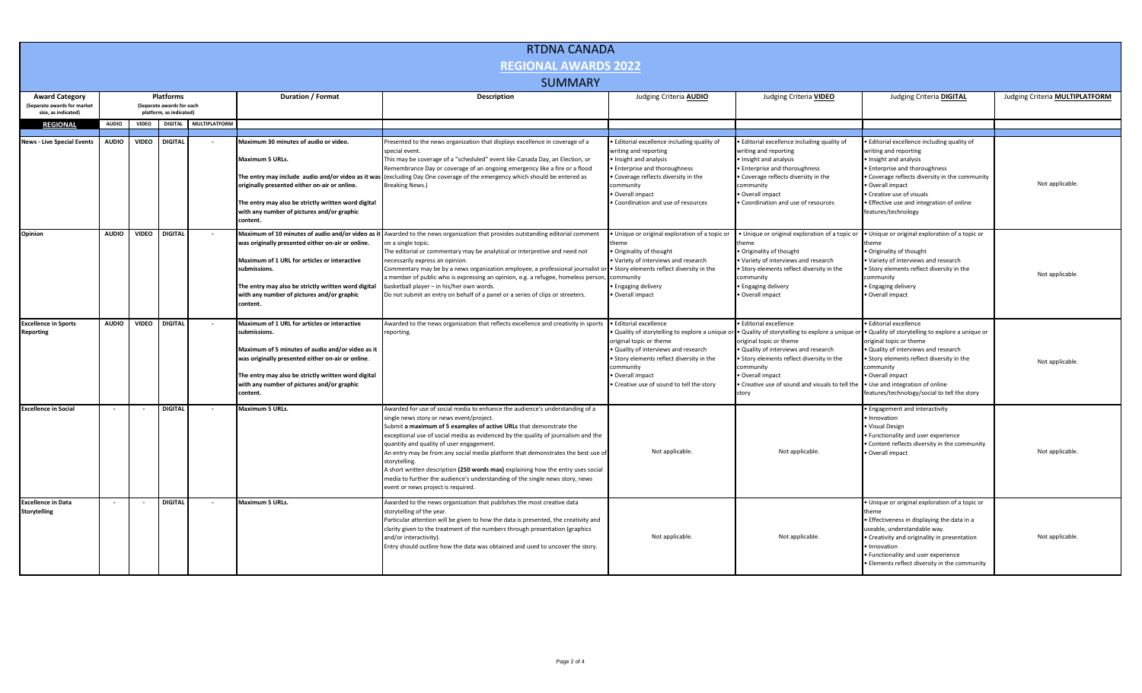| <b>RTDNA CANADA</b>                                                        |                                                                          |              |                |                      |                                                                                                                                                                                                                                                                                         |                                                                                                                                                                                                                                                                                                                                                                                                                                                                                                                                                                                                                                                |                                                                                                                                                                                                                                                 |                                                                                                                                                                                                                                                                                                                                               |                                                                                                                                                                                                                                                                                                              |                                       |
|----------------------------------------------------------------------------|--------------------------------------------------------------------------|--------------|----------------|----------------------|-----------------------------------------------------------------------------------------------------------------------------------------------------------------------------------------------------------------------------------------------------------------------------------------|------------------------------------------------------------------------------------------------------------------------------------------------------------------------------------------------------------------------------------------------------------------------------------------------------------------------------------------------------------------------------------------------------------------------------------------------------------------------------------------------------------------------------------------------------------------------------------------------------------------------------------------------|-------------------------------------------------------------------------------------------------------------------------------------------------------------------------------------------------------------------------------------------------|-----------------------------------------------------------------------------------------------------------------------------------------------------------------------------------------------------------------------------------------------------------------------------------------------------------------------------------------------|--------------------------------------------------------------------------------------------------------------------------------------------------------------------------------------------------------------------------------------------------------------------------------------------------------------|---------------------------------------|
| <b>REGIONAL AWARDS 2022</b>                                                |                                                                          |              |                |                      |                                                                                                                                                                                                                                                                                         |                                                                                                                                                                                                                                                                                                                                                                                                                                                                                                                                                                                                                                                |                                                                                                                                                                                                                                                 |                                                                                                                                                                                                                                                                                                                                               |                                                                                                                                                                                                                                                                                                              |                                       |
| <b>SUMMARY</b>                                                             |                                                                          |              |                |                      |                                                                                                                                                                                                                                                                                         |                                                                                                                                                                                                                                                                                                                                                                                                                                                                                                                                                                                                                                                |                                                                                                                                                                                                                                                 |                                                                                                                                                                                                                                                                                                                                               |                                                                                                                                                                                                                                                                                                              |                                       |
| <b>Award Category</b><br>Separate awards for market<br>size, as indicated) | <b>Platforms</b><br>(Separate awards for each<br>platform, as indicated) |              |                |                      | Duration / Format                                                                                                                                                                                                                                                                       | <b>Description</b>                                                                                                                                                                                                                                                                                                                                                                                                                                                                                                                                                                                                                             | Judging Criteria <b>AUDIO</b>                                                                                                                                                                                                                   | Judging Criteria VIDEO                                                                                                                                                                                                                                                                                                                        | Judging Criteria <b>DIGITAL</b>                                                                                                                                                                                                                                                                              | Judging Criteria <b>MULTIPLATFORM</b> |
| <b>REGIONAL</b>                                                            | <b>AUDIO</b>                                                             | <b>VIDEO</b> | <b>DIGITAL</b> | <b>MULTIPLATFORM</b> |                                                                                                                                                                                                                                                                                         |                                                                                                                                                                                                                                                                                                                                                                                                                                                                                                                                                                                                                                                |                                                                                                                                                                                                                                                 |                                                                                                                                                                                                                                                                                                                                               |                                                                                                                                                                                                                                                                                                              |                                       |
|                                                                            |                                                                          |              |                |                      |                                                                                                                                                                                                                                                                                         |                                                                                                                                                                                                                                                                                                                                                                                                                                                                                                                                                                                                                                                |                                                                                                                                                                                                                                                 |                                                                                                                                                                                                                                                                                                                                               |                                                                                                                                                                                                                                                                                                              |                                       |
| <b>News - Live Special Events</b>                                          | <b>AUDIO</b>                                                             | <b>VIDEO</b> | <b>DIGITAL</b> |                      | Maximum 30 minutes of audio or video.<br>Maximum 5 URLs.<br>originally presented either on-air or online.<br>The entry may also be strictly written word digital<br>with any number of pictures and/or graphic<br>content.                                                              | Presented to the news organization that displays excellence in coverage of a<br>special event.<br>This may be coverage of a "scheduled" event like Canada Day, an Election, or<br>Remembrance Day or coverage of an ongoing emergency like a fire or a flood<br>The entry may include audio and/or video as it was (excluding Day One coverage of the emergency which should be entered as<br><b>Breaking News.)</b>                                                                                                                                                                                                                           | . Editorial excellence including quality of<br>writing and reporting<br>· Insight and analysis<br>• Enterprise and thoroughness<br>• Coverage reflects diversity in the<br>community<br>· Overall impact<br>. Coordination and use of resources | · Editorial excellence including quality of<br>writing and reporting<br>Insight and analysis<br><b>Enterprise and thoroughness</b><br>Coverage reflects diversity in the<br>community<br>Overall impact<br>Coordination and use of resources                                                                                                  | • Editorial excellence including quality of<br>writing and reporting<br>Insight and analysis<br><b>Enterprise and thoroughness</b><br>Coverage reflects diversity in the community<br>Overall impact<br>• Creative use of visuals<br>· Effective use and integration of online<br>features/technology        | Not applicable.                       |
| Opinion                                                                    | <b>AUDIO</b>                                                             | <b>VIDEO</b> | <b>DIGITAL</b> |                      | Maximum of 10 minutes of audio and/or video as it<br>was originally presented either on-air or online.<br>Maximum of 1 URL for articles or interactive<br>submissions.<br>The entry may also be strictly written word digital<br>with any number of pictures and/or graphic<br>content. | Awarded to the news organization that provides outstanding editorial comment<br>on a single topic.<br>The editorial or commentary may be analytical or interpretive and need not<br>necessarily express an opinion<br>Commentary may be by a news organization employee, a professional journalist o<br>a member of public who is expressing an opinion, e.g. a refugee, homeless person,<br>basketball player - in his/her own words.<br>Do not submit an entry on behalf of a panel or a series of clips or streeters.                                                                                                                       | · Unique or original exploration of a topic or<br>theme<br>• Originality of thought<br>. Variety of interviews and research<br>. Story elements reflect diversity in the<br>community<br><b>Engaging delivery</b><br>Overall impact             | · Unique or original exploration of a topic or<br>• Originality of thought<br>. Variety of interviews and research<br>· Story elements reflect diversity in the<br>community<br><b>Engaging delivery</b><br>Overall impact                                                                                                                    | . Unique or original exploration of a topic or<br>· Originality of thought<br>• Variety of interviews and research<br>• Story elements reflect diversity in the<br>community<br>• Engaging delivery<br>· Overall impact                                                                                      | Not applicable.                       |
| <b>Excellence in Sports</b><br><b>Reporting</b>                            | <b>AUDIO</b>                                                             | <b>VIDEO</b> | <b>DIGITAL</b> |                      | Maximum of 1 URL for articles or interactive<br>submissions.<br>Maximum of 5 minutes of audio and/or video as it<br>was originally presented either on-air or online.<br>The entry may also be strictly written word digital<br>with any number of pictures and/or graphic<br>content.  | Awarded to the news organization that reflects excellence and creativity in sports<br>reporting.                                                                                                                                                                                                                                                                                                                                                                                                                                                                                                                                               | · Editorial excellence<br>original topic or theme<br>. Quality of interviews and research<br>. Story elements reflect diversity in the<br>community<br>· Overall impact<br>. Creative use of sound to tell the story                            | <b>Editorial excellence</b><br>. Quality of storytelling to explore a unique or . Quality of storytelling to explore a unique or<br>original topic or theme<br>· Quality of interviews and research<br>. Story elements reflect diversity in the<br>community<br>· Overall impact<br>· Creative use of sound and visuals to tell the<br>story | · Editorial excellence<br>· Quality of storytelling to explore a unique or<br>original topic or theme<br>. Quality of interviews and research<br>Story elements reflect diversity in the<br>community<br>· Overall impact<br>• Use and integration of online<br>features/technology/social to tell the story | Not applicable.                       |
| <b>Excellence in Social</b>                                                |                                                                          |              | <b>DIGITAL</b> |                      | <b>Maximum 5 URLs.</b>                                                                                                                                                                                                                                                                  | Awarded for use of social media to enhance the audience's understanding of a<br>single news story or news event/project.<br>Submit a maximum of 5 examples of active URLs that demonstrate the<br>exceptional use of social media as evidenced by the quality of journalism and the<br>quantity and quality of user engagement.<br>An entry may be from any social media platform that demonstrates the best use of<br>storytelling.<br>A short written description (250 words max) explaining how the entry uses social<br>media to further the audience's understanding of the single news story, news<br>event or news project is required. | Not applicable.                                                                                                                                                                                                                                 | Not applicable.                                                                                                                                                                                                                                                                                                                               | • Engagement and interactivity<br>Innovation<br>· Visual Design<br>• Functionality and user experience<br>• Content reflects diversity in the community<br>· Overall impact                                                                                                                                  | Not applicable.                       |
| <b>Excellence in Data</b><br>Storytelling                                  |                                                                          |              | <b>DIGITAL</b> | $\sim$               | <b>Maximum 5 URLs.</b>                                                                                                                                                                                                                                                                  | Awarded to the news organization that publishes the most creative data<br>storytelling of the year.<br>Particular attention will be given to how the data is presented, the creativity and<br>clarity given to the treatment of the numbers through presentation (graphics<br>and/or interactivity).<br>Entry should outline how the data was obtained and used to uncover the story.                                                                                                                                                                                                                                                          | Not applicable.                                                                                                                                                                                                                                 | Not applicable.                                                                                                                                                                                                                                                                                                                               | Unique or original exploration of a topic or<br>theme<br>• Effectiveness in displaying the data in a<br>useable, understandable way.<br>• Creativity and originality in presentation<br>Innovation<br>· Functionality and user experience<br>• Elements reflect diversity in the community                   | Not applicable.                       |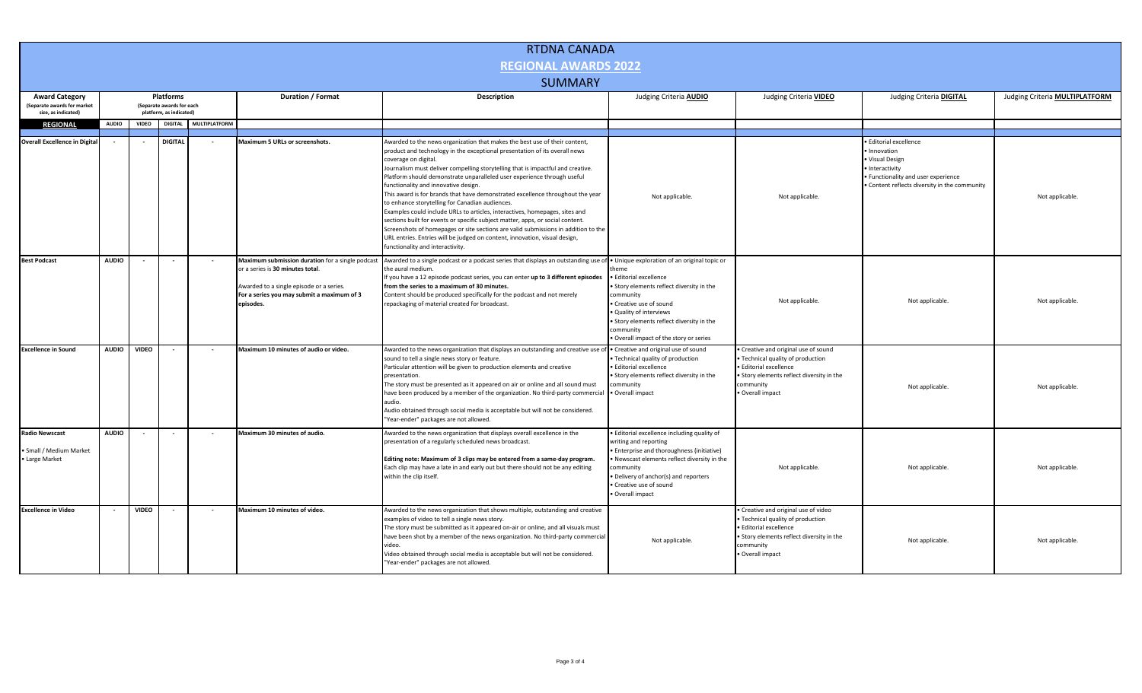| <b>RTDNA CANADA</b>                                                |              |              |                                               |                       |                                                                                                                                                                                             |                                                                                                                                                                                                                                                                                                                                                                                                                                                                                                                                                                                                                                                                                                                                                                                                                                                                                                     |                                                                                                                                                                                                                                                                                                        |                                                                                                                                                                                 |                                                                                                                                                                |                                       |  |
|--------------------------------------------------------------------|--------------|--------------|-----------------------------------------------|-----------------------|---------------------------------------------------------------------------------------------------------------------------------------------------------------------------------------------|-----------------------------------------------------------------------------------------------------------------------------------------------------------------------------------------------------------------------------------------------------------------------------------------------------------------------------------------------------------------------------------------------------------------------------------------------------------------------------------------------------------------------------------------------------------------------------------------------------------------------------------------------------------------------------------------------------------------------------------------------------------------------------------------------------------------------------------------------------------------------------------------------------|--------------------------------------------------------------------------------------------------------------------------------------------------------------------------------------------------------------------------------------------------------------------------------------------------------|---------------------------------------------------------------------------------------------------------------------------------------------------------------------------------|----------------------------------------------------------------------------------------------------------------------------------------------------------------|---------------------------------------|--|
| <b>REGIONAL AWARDS 2022</b>                                        |              |              |                                               |                       |                                                                                                                                                                                             |                                                                                                                                                                                                                                                                                                                                                                                                                                                                                                                                                                                                                                                                                                                                                                                                                                                                                                     |                                                                                                                                                                                                                                                                                                        |                                                                                                                                                                                 |                                                                                                                                                                |                                       |  |
| <b>SUMMARY</b>                                                     |              |              |                                               |                       |                                                                                                                                                                                             |                                                                                                                                                                                                                                                                                                                                                                                                                                                                                                                                                                                                                                                                                                                                                                                                                                                                                                     |                                                                                                                                                                                                                                                                                                        |                                                                                                                                                                                 |                                                                                                                                                                |                                       |  |
| <b>Award Category</b><br>(Separate awards for market               |              |              | <b>Platforms</b><br>(Separate awards for each |                       | Duration / Format                                                                                                                                                                           | Description                                                                                                                                                                                                                                                                                                                                                                                                                                                                                                                                                                                                                                                                                                                                                                                                                                                                                         | Judging Criteria <b>AUDIO</b>                                                                                                                                                                                                                                                                          | Judging Criteria VIDEO                                                                                                                                                          | Judging Criteria <b>DIGITAL</b>                                                                                                                                | Judging Criteria <b>MULTIPLATFORM</b> |  |
| size, as indicated)                                                |              |              | platform, as indicated)                       |                       |                                                                                                                                                                                             |                                                                                                                                                                                                                                                                                                                                                                                                                                                                                                                                                                                                                                                                                                                                                                                                                                                                                                     |                                                                                                                                                                                                                                                                                                        |                                                                                                                                                                                 |                                                                                                                                                                |                                       |  |
| <b>REGIONAL</b>                                                    | <b>AUDIO</b> | <b>VIDEO</b> |                                               | DIGITAL MULTIPLATFORM |                                                                                                                                                                                             |                                                                                                                                                                                                                                                                                                                                                                                                                                                                                                                                                                                                                                                                                                                                                                                                                                                                                                     |                                                                                                                                                                                                                                                                                                        |                                                                                                                                                                                 |                                                                                                                                                                |                                       |  |
| <b>Overall Excellence in Digital</b>                               |              |              | <b>DIGITAL</b>                                |                       | Maximum 5 URLs or screenshots.                                                                                                                                                              | Awarded to the news organization that makes the best use of their content,<br>product and technology in the exceptional presentation of its overall news<br>coverage on digital.<br>Journalism must deliver compelling storytelling that is impactful and creative.<br>Platform should demonstrate unparalleled user experience through useful<br>functionality and innovative design.<br>This award is for brands that have demonstrated excellence throughout the year<br>to enhance storytelling for Canadian audiences.<br>Examples could include URLs to articles, interactives, homepages, sites and<br>sections built for events or specific subject matter, apps, or social content.<br>Screenshots of homepages or site sections are valid submissions in addition to the<br>URL entries. Entries will be judged on content, innovation, visual design,<br>unctionality and interactivity. | Not applicable.                                                                                                                                                                                                                                                                                        | Not applicable.                                                                                                                                                                 | Editorial excellence<br>Innovation<br>Visual Design<br>· Interactivity<br>• Functionality and user experience<br>. Content reflects diversity in the community | Not applicable                        |  |
| <b>Best Podcast</b>                                                | <b>AUDIO</b> |              |                                               | $\sim$                | Maximum submission duration for a single podcast<br>or a series is 30 minutes total.<br>Awarded to a single episode or a series.<br>For a series you may submit a maximum of 3<br>episodes. | Awarded to a single podcast or a podcast series that displays an outstanding use of<br>the aural medium.<br>If you have a 12 episode podcast series, you can enter up to 3 different episodes<br>from the series to a maximum of 30 minutes.<br>Content should be produced specifically for the podcast and not merely<br>repackaging of material created for broadcast.                                                                                                                                                                                                                                                                                                                                                                                                                                                                                                                            | · Unique exploration of an original topic or<br>heme<br><b>Editorial excellence</b><br>· Story elements reflect diversity in the<br>community<br>· Creative use of sound<br>· Quality of interviews<br>· Story elements reflect diversity in the<br>community<br>Overall impact of the story or series | Not applicable.                                                                                                                                                                 | Not applicable.                                                                                                                                                | Not applicable.                       |  |
| <b>Excellence in Sound</b>                                         | <b>AUDIO</b> | <b>VIDEO</b> |                                               |                       | Maximum 10 minutes of audio or video.                                                                                                                                                       | Awarded to the news organization that displays an outstanding and creative use of<br>sound to tell a single news story or feature.<br>Particular attention will be given to production elements and creative<br>presentation.<br>The story must be presented as it appeared on air or online and all sound must<br>have been produced by a member of the organization. No third-party commercial<br>audio.<br>Audio obtained through social media is acceptable but will not be considered.<br>"Year-ender" packages are not allowed.                                                                                                                                                                                                                                                                                                                                                               | · Creative and original use of sound<br>Technical quality of production<br><b>Editorial excellence</b><br>Story elements reflect diversity in the<br>community<br>· Overall impact                                                                                                                     | Creative and original use of sound<br>Technical quality of production<br>· Editorial excellence<br>• Story elements reflect diversity in the<br>community<br>· Overall impact   | Not applicable.                                                                                                                                                | Not applicable.                       |  |
| <b>Radio Newscast</b><br>• Small / Medium Market<br>· Large Market | <b>AUDIO</b> | $\sim$       | $\sim$                                        | $\sim$                | Maximum 30 minutes of audio.                                                                                                                                                                | Awarded to the news organization that displays overall excellence in the<br>presentation of a regularly scheduled news broadcast.<br>Editing note: Maximum of 3 clips may be entered from a same-day program.<br>Each clip may have a late in and early out but there should not be any editing<br>within the clip itself.                                                                                                                                                                                                                                                                                                                                                                                                                                                                                                                                                                          | · Editorial excellence including quality of<br>writing and reporting<br>Enterprise and thoroughness (initiative)<br>Newscast elements reflect diversity in the<br>community<br>· Delivery of anchor(s) and reporters<br>· Creative use of sound<br>· Overall impact                                    | Not applicable.                                                                                                                                                                 | Not applicable.                                                                                                                                                | Not applicable.                       |  |
| <b>Excellence in Video</b>                                         |              | <b>VIDEO</b> |                                               |                       | Maximum 10 minutes of video.                                                                                                                                                                | Awarded to the news organization that shows multiple, outstanding and creative<br>examples of video to tell a single news story.<br>The story must be submitted as it appeared on-air or online, and all visuals must<br>have been shot by a member of the news organization. No third-party commercial<br>video.<br>Video obtained through social media is acceptable but will not be considered.<br>"Year-ender" packages are not allowed.                                                                                                                                                                                                                                                                                                                                                                                                                                                        | Not applicable.                                                                                                                                                                                                                                                                                        | · Creative and original use of video<br>Technical quality of production<br>· Editorial excellence<br>· Story elements reflect diversity in the<br>community<br>· Overall impact | Not applicable.                                                                                                                                                | Not applicable.                       |  |